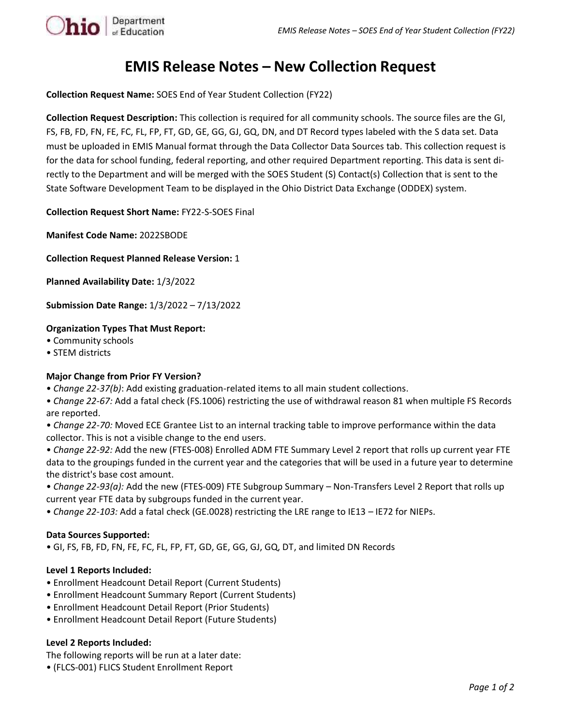

# **EMIS Release Notes – New Collection Request**

**Collection Request Name:** SOES End of Year Student Collection (FY22)

**Collection Request Description:** This collection is required for all community schools. The source files are the GI, FS, FB, FD, FN, FE, FC, FL, FP, FT, GD, GE, GG, GJ, GQ, DN, and DT Record types labeled with the S data set. Data must be uploaded in EMIS Manual format through the Data Collector Data Sources tab. This collection request is for the data for school funding, federal reporting, and other required Department reporting. This data is sent directly to the Department and will be merged with the SOES Student (S) Contact(s) Collection that is sent to the State Software Development Team to be displayed in the Ohio District Data Exchange (ODDEX) system.

**Collection Request Short Name:** FY22-S-SOES Final

**Manifest Code Name:** 2022SBODE

**Collection Request Planned Release Version:** 1

**Planned Availability Date:** 1/3/2022

**Submission Date Range:** 1/3/2022 – 7/13/2022

## **Organization Types That Must Report:**

- Community schools
- STEM districts

### **Major Change from Prior FY Version?**

• *Change 22-37(b)*: Add existing graduation-related items to all main student collections.

• *Change 22-67:* Add a fatal check (FS.1006) restricting the use of withdrawal reason 81 when multiple FS Records are reported.

• *Change 22-70:* Moved ECE Grantee List to an internal tracking table to improve performance within the data collector. This is not a visible change to the end users.

• *Change 22-92:* Add the new (FTES-008) Enrolled ADM FTE Summary Level 2 report that rolls up current year FTE data to the groupings funded in the current year and the categories that will be used in a future year to determine the district's base cost amount.

• *Change 22-93(a):* Add the new (FTES-009) FTE Subgroup Summary – Non-Transfers Level 2 Report that rolls up current year FTE data by subgroups funded in the current year.

• *Change 22-103:* Add a fatal check (GE.0028) restricting the LRE range to IE13 – IE72 for NIEPs.

### **Data Sources Supported:**

• GI, FS, FB, FD, FN, FE, FC, FL, FP, FT, GD, GE, GG, GJ, GQ, DT, and limited DN Records

### **Level 1 Reports Included:**

- Enrollment Headcount Detail Report (Current Students)
- Enrollment Headcount Summary Report (Current Students)
- Enrollment Headcount Detail Report (Prior Students)
- Enrollment Headcount Detail Report (Future Students)

### **Level 2 Reports Included:**

The following reports will be run at a later date:

• (FLCS-001) FLICS Student Enrollment Report